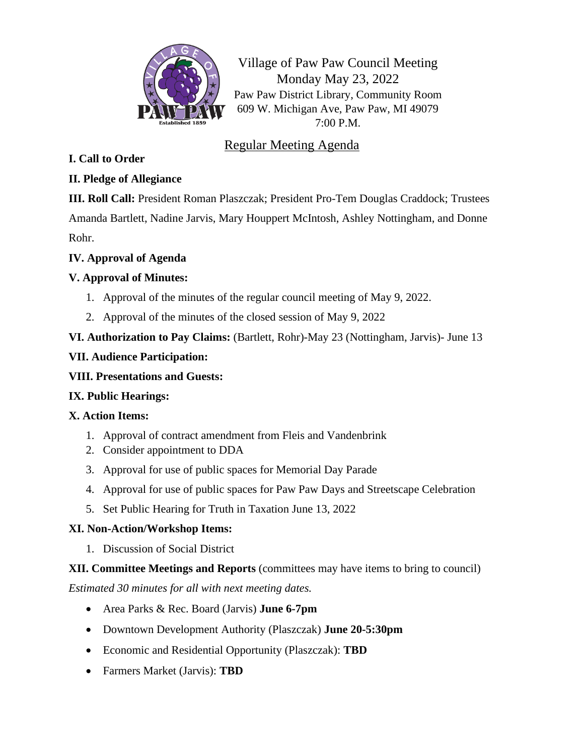

Village of Paw Paw Council Meeting Monday May 23, 2022 Paw Paw District Library, Community Room 609 W. Michigan Ave, Paw Paw, MI 49079 7:00 P.M.

# Regular Meeting Agenda

## **I. Call to Order**

## **II. Pledge of Allegiance**

**III. Roll Call:** President Roman Plaszczak; President Pro-Tem Douglas Craddock; Trustees Amanda Bartlett, Nadine Jarvis, Mary Houppert McIntosh, Ashley Nottingham, and Donne Rohr.

#### **IV. Approval of Agenda**

## **V. Approval of Minutes:**

- 1. Approval of the minutes of the regular council meeting of May 9, 2022.
- 2. Approval of the minutes of the closed session of May 9, 2022

## **VI. Authorization to Pay Claims:** (Bartlett, Rohr)-May 23 (Nottingham, Jarvis)- June 13

#### **VII. Audience Participation:**

## **VIII. Presentations and Guests:**

## **IX. Public Hearings:**

## **X. Action Items:**

- 1. Approval of contract amendment from Fleis and Vandenbrink
- 2. Consider appointment to DDA
- 3. Approval for use of public spaces for Memorial Day Parade
- 4. Approval for use of public spaces for Paw Paw Days and Streetscape Celebration
- 5. Set Public Hearing for Truth in Taxation June 13, 2022

## **XI. Non-Action/Workshop Items:**

1. Discussion of Social District

#### **XII. Committee Meetings and Reports** (committees may have items to bring to council)

*Estimated 30 minutes for all with next meeting dates.*

- Area Parks & Rec. Board (Jarvis) **June 6-7pm**
- Downtown Development Authority (Plaszczak) **June 20-5:30pm**
- Economic and Residential Opportunity (Plaszczak): **TBD**
- Farmers Market (Jarvis): **TBD**